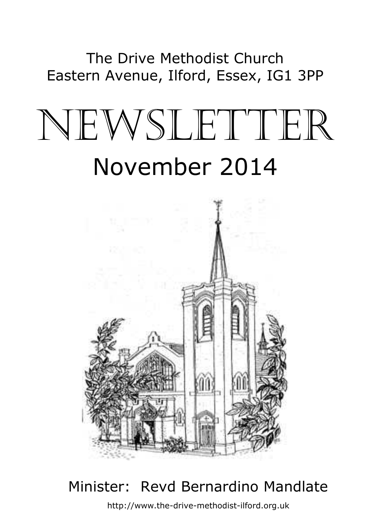# The Drive Methodist Church Eastern Avenue, Ilford, Essex, IG1 3PP

# NEWSLETTER November 2014



# $\overline{a}$ Minister: Revd Bernardino Mandlate

http://www.the-drive-methodist-ilford.org.uk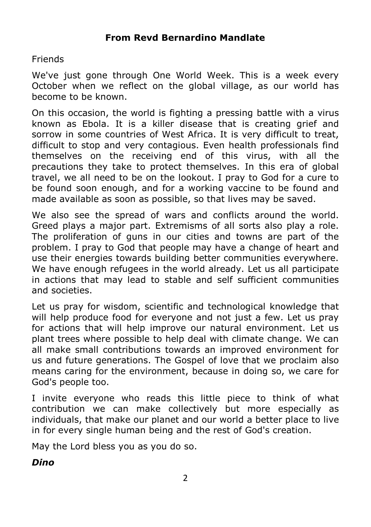# **From Revd Bernardino Mandlate**

# Friends

We've just gone through One World Week. This is a week every October when we reflect on the global village, as our world has become to be known.

On this occasion, the world is fighting a pressing battle with a virus known as Ebola. It is a killer disease that is creating grief and sorrow in some countries of West Africa. It is very difficult to treat, difficult to stop and very contagious. Even health professionals find themselves on the receiving end of this virus, with all the precautions they take to protect themselves. In this era of global travel, we all need to be on the lookout. I pray to God for a cure to be found soon enough, and for a working vaccine to be found and made available as soon as possible, so that lives may be saved.

We also see the spread of wars and conflicts around the world. Greed plays a major part. Extremisms of all sorts also play a role. The proliferation of guns in our cities and towns are part of the problem. I pray to God that people may have a change of heart and use their energies towards building better communities everywhere. We have enough refugees in the world already. Let us all participate in actions that may lead to stable and self sufficient communities and societies.

Let us pray for wisdom, scientific and technological knowledge that will help produce food for everyone and not just a few. Let us pray for actions that will help improve our natural environment. Let us plant trees where possible to help deal with climate change. We can all make small contributions towards an improved environment for us and future generations. The Gospel of love that we proclaim also means caring for the environment, because in doing so, we care for God's people too.

I invite everyone who reads this little piece to think of what contribution we can make collectively but more especially as individuals, that make our planet and our world a better place to live in for every single human being and the rest of God's creation.

May the Lord bless you as you do so.

# *Dino*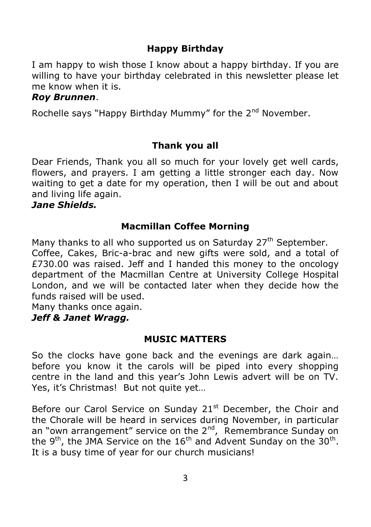# **Happy Birthday**

I am happy to wish those I know about a happy birthday. If you are willing to have your birthday celebrated in this newsletter please let me know when it is.

#### *Roy Brunnen*.

Rochelle says "Happy Birthday Mummy" for the 2<sup>nd</sup> November.

# **Thank you all**

Dear Friends, Thank you all so much for your lovely get well cards, flowers, and prayers. I am getting a little stronger each day. Now waiting to get a date for my operation, then I will be out and about and living life again.

#### *Jane Shields.*

#### **Macmillan Coffee Morning**

Many thanks to all who supported us on Saturday 27<sup>th</sup> September. Coffee, Cakes, Bric-a-brac and new gifts were sold, and a total of £730.00 was raised. Jeff and I handed this money to the oncology department of the Macmillan Centre at University College Hospital London, and we will be contacted later when they decide how the funds raised will be used.

Many thanks once again.

#### *Jeff & Janet Wragg.*

#### **MUSIC MATTERS**

So the clocks have gone back and the evenings are dark again… before you know it the carols will be piped into every shopping centre in the land and this year's John Lewis advert will be on TV. Yes, it's Christmas! But not quite yet…

Before our Carol Service on Sunday 21<sup>st</sup> December, the Choir and the Chorale will be heard in services during November, in particular an "own arrangement" service on the  $2^{nd}$ , Remembrance Sunday on the 9<sup>th</sup>, the JMA Service on the 16<sup>th</sup> and Advent Sunday on the 30<sup>th</sup>. It is a busy time of year for our church musicians!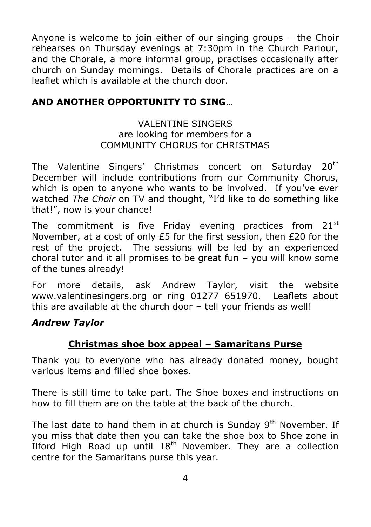Anyone is welcome to join either of our singing groups – the Choir rehearses on Thursday evenings at 7:30pm in the Church Parlour, and the Chorale, a more informal group, practises occasionally after church on Sunday mornings. Details of Chorale practices are on a leaflet which is available at the church door.

# **AND ANOTHER OPPORTUNITY TO SING**…

# VALENTINE SINGERS are looking for members for a COMMUNITY CHORUS for CHRISTMAS

The Valentine Singers' Christmas concert on Saturday 20<sup>th</sup> December will include contributions from our Community Chorus, which is open to anyone who wants to be involved. If you've ever watched *The Choir* on TV and thought, "I'd like to do something like that!", now is your chance!

The commitment is five Friday evening practices from  $21<sup>st</sup>$ November, at a cost of only £5 for the first session, then £20 for the rest of the project. The sessions will be led by an experienced choral tutor and it all promises to be great fun – you will know some of the tunes already!

For more details, ask Andrew Taylor, visit the website www.valentinesingers.org or ring 01277 651970. Leaflets about this are available at the church door – tell your friends as well!

# *Andrew Taylor*

# **Christmas shoe box appeal – Samaritans Purse**

Thank you to everyone who has already donated money, bought various items and filled shoe boxes.

There is still time to take part. The Shoe boxes and instructions on how to fill them are on the table at the back of the church.

The last date to hand them in at church is Sunday  $9<sup>th</sup>$  November. If you miss that date then you can take the shoe box to Shoe zone in Ilford High Road up until  $18<sup>th</sup>$  November. They are a collection centre for the Samaritans purse this year.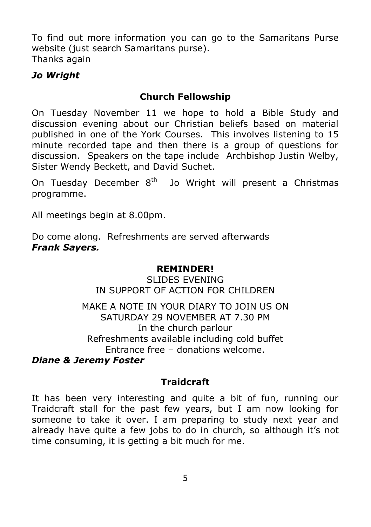To find out more information you can go to the Samaritans Purse website (just search Samaritans purse). Thanks again

# *Jo Wright*

# **Church Fellowship**

On Tuesday November 11 we hope to hold a Bible Study and discussion evening about our Christian beliefs based on material published in one of the York Courses. This involves listening to 15 minute recorded tape and then there is a group of questions for discussion. Speakers on the tape include Archbishop Justin Welby, Sister Wendy Beckett, and David Suchet.

On Tuesday December  $8<sup>th</sup>$  Jo Wright will present a Christmas programme.

All meetings begin at 8.00pm.

Do come along. Refreshments are served afterwards *Frank Sayers.*

#### **REMINDER!**

SLIDES EVENING IN SUPPORT OF ACTION FOR CHILDREN

MAKE A NOTE IN YOUR DIARY TO JOIN US ON SATURDAY 29 NOVEMBER AT 7.30 PM In the church parlour Refreshments available including cold buffet Entrance free – donations welcome.

# *Diane & Jeremy Foster*

# **Traidcraft**

It has been very interesting and quite a bit of fun, running our Traidcraft stall for the past few years, but I am now looking for someone to take it over. I am preparing to study next year and already have quite a few jobs to do in church, so although it's not time consuming, it is getting a bit much for me.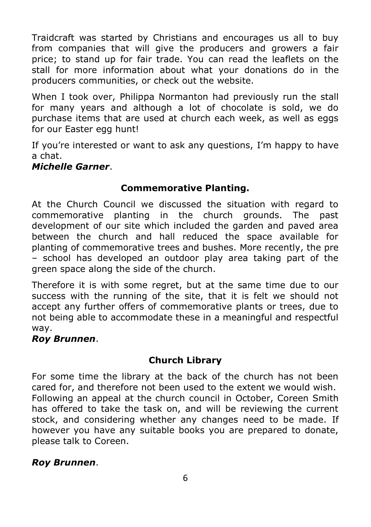Traidcraft was started by Christians and encourages us all to buy from companies that will give the producers and growers a fair price; to stand up for fair trade. You can read the leaflets on the stall for more information about what your donations do in the producers communities, or check out the website.

When I took over, Philippa Normanton had previously run the stall for many years and although a lot of chocolate is sold, we do purchase items that are used at church each week, as well as eggs for our Easter egg hunt!

If you're interested or want to ask any questions, I'm happy to have a chat.

#### *Michelle Garner*.

# **Commemorative Planting.**

At the Church Council we discussed the situation with regard to commemorative planting in the church grounds. The past development of our site which included the garden and paved area between the church and hall reduced the space available for planting of commemorative trees and bushes. More recently, the pre – school has developed an outdoor play area taking part of the green space along the side of the church.

Therefore it is with some regret, but at the same time due to our success with the running of the site, that it is felt we should not accept any further offers of commemorative plants or trees, due to not being able to accommodate these in a meaningful and respectful way.

#### *Roy Brunnen*.

# **Church Library**

For some time the library at the back of the church has not been cared for, and therefore not been used to the extent we would wish. Following an appeal at the church council in October, Coreen Smith has offered to take the task on, and will be reviewing the current stock, and considering whether any changes need to be made. If however you have any suitable books you are prepared to donate, please talk to Coreen.

#### *Roy Brunnen*.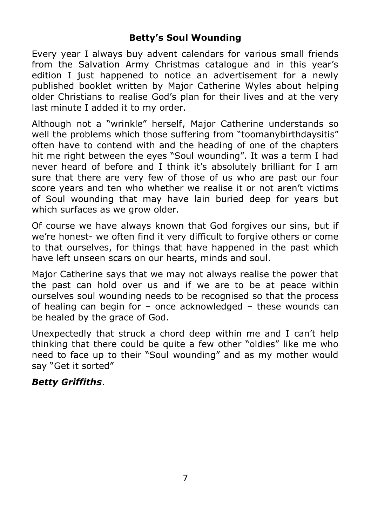# **Betty's Soul Wounding**

Every year I always buy advent calendars for various small friends from the Salvation Army Christmas catalogue and in this year's edition I just happened to notice an advertisement for a newly published booklet written by Major Catherine Wyles about helping older Christians to realise God's plan for their lives and at the very last minute I added it to my order.

Although not a "wrinkle" herself, Major Catherine understands so well the problems which those suffering from "toomanybirthdaysitis" often have to contend with and the heading of one of the chapters hit me right between the eyes "Soul wounding". It was a term I had never heard of before and I think it's absolutely brilliant for I am sure that there are very few of those of us who are past our four score years and ten who whether we realise it or not aren't victims of Soul wounding that may have lain buried deep for years but which surfaces as we grow older.

Of course we have always known that God forgives our sins, but if we're honest- we often find it very difficult to forgive others or come to that ourselves, for things that have happened in the past which have left unseen scars on our hearts, minds and soul.

Major Catherine says that we may not always realise the power that the past can hold over us and if we are to be at peace within ourselves soul wounding needs to be recognised so that the process of healing can begin for – once acknowledged – these wounds can be healed by the grace of God.

Unexpectedly that struck a chord deep within me and I can't help thinking that there could be quite a few other "oldies" like me who need to face up to their "Soul wounding" and as my mother would say "Get it sorted"

# *Betty Griffiths*.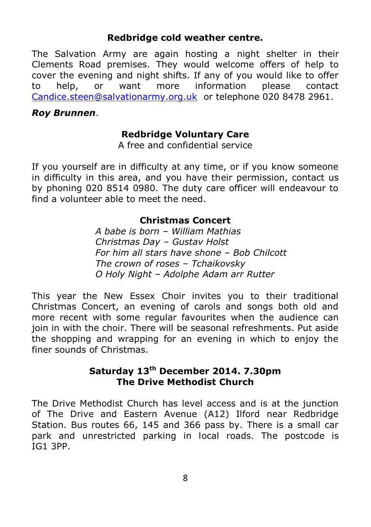# **Redbridge cold weather centre.**

The Salvation Army are again hosting a night shelter in their Clements Road premises. They would welcome offers of help to cover the evening and night shifts. If any of you would like to offer to help, or want more information please contact Candice.steen@salvationarmy.org.uk or telephone 020 8478 2961.

#### *Roy Brunnen*.

# **Redbridge Voluntary Care**

A free and confidential service

If you yourself are in difficulty at any time, or if you know someone in difficulty in this area, and you have their permission, contact us by phoning 020 8514 0980. The duty care officer will endeavour to find a volunteer able to meet the need.

#### **Christmas Concert**

*A babe is born – William Mathias Christmas Day – Gustav Holst For him all stars have shone – Bob Chilcott The crown of roses – Tchaikovsky O Holy Night – Adolphe Adam arr Rutter*

This year the New Essex Choir invites you to their traditional Christmas Concert, an evening of carols and songs both old and more recent with some regular favourites when the audience can join in with the choir. There will be seasonal refreshments. Put aside the shopping and wrapping for an evening in which to enjoy the finer sounds of Christmas.

# **Saturday 13th December 2014. 7.30pm The Drive Methodist Church**

The Drive Methodist Church has level access and is at the junction of The Drive and Eastern Avenue (A12) Ilford near Redbridge Station. Bus routes 66, 145 and 366 pass by. There is a small car park and unrestricted parking in local roads. The postcode is IG1 3PP.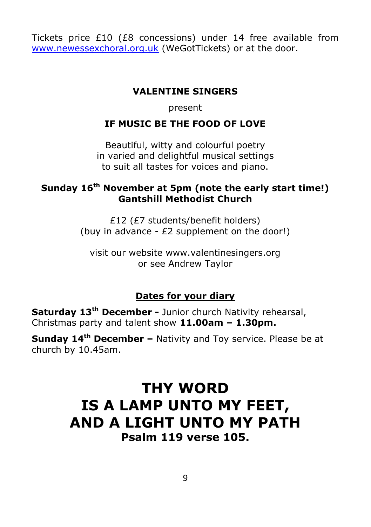Tickets price £10 (£8 concessions) under 14 free available from www.newessexchoral.org.uk (WeGotTickets) or at the door.

# **VALENTINE SINGERS**

present

# **IF MUSIC BE THE FOOD OF LOVE**

Beautiful, witty and colourful poetry in varied and delightful musical settings to suit all tastes for voices and piano.

# **Sunday 16th November at 5pm (note the early start time!) Gantshill Methodist Church**

£12 (£7 students/benefit holders) (buy in advance - £2 supplement on the door!)

visit our website www.valentinesingers.org or see Andrew Taylor

# **Dates for your diary**

**Saturday 13th December -** Junior church Nativity rehearsal, Christmas party and talent show **11.00am – 1.30pm.**

**Sunday 14th December –** Nativity and Toy service. Please be at church by 10.45am.

# **THY WORD IS A LAMP UNTO MY FEET, AND A LIGHT UNTO MY PATH Psalm 119 verse 105.**